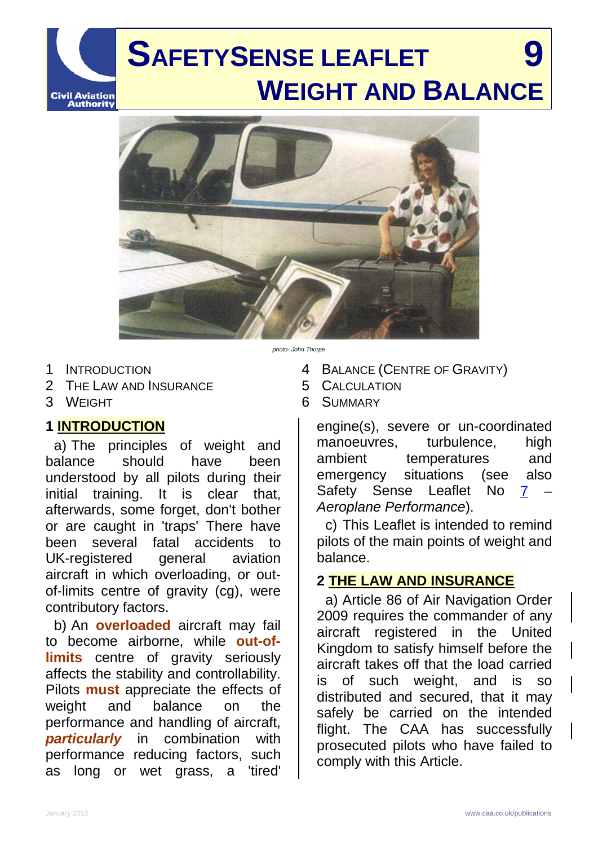# **SAFETYSENSE LEAFLET 9 WEIGHT AND BALANCE**



1 INTRODUCTION

- 2 THE LAW AND INSURANCE
- 3 WEIGHT

**Civil Aviation<br>Authority** 

## **1 INTRODUCTION**

a) The principles of weight and balance should have been understood by all pilots during their initial training. It is clear that, afterwards, some forget, don't bother or are caught in 'traps' There have been several fatal accidents to UK-registered general aviation aircraft in which overloading, or outof-limits centre of gravity (cg), were contributory factors.

b) An **overloaded** aircraft may fail to become airborne, while **out-oflimits** centre of gravity seriously affects the stability and controllability. Pilots **must** appreciate the effects of weight and balance on the performance and handling of aircraft, *particularly* in combination with performance reducing factors, such as long or wet grass, a 'tired'

- *photo- John Thorpe*
	- 4 BALANCE (CENTRE OF GRAVITY)
	- 5 CALCULATION
	- 6 SUMMARY

engine(s), severe or un-coordinated manoeuvres, turbulence, high ambient temperatures and emergency situations (see also Safety Sense Leaflet No [7](http://www.caa.co.uk/application.aspx?catid=33&pagetype=65&appid=11&mode=detail&id=1913) *Aeroplane Performance*).

c) This Leaflet is intended to remind pilots of the main points of weight and balance.

## **2 THE LAW AND INSURANCE**

a) Article 86 of Air Navigation Order 2009 requires the commander of any aircraft registered in the United Kingdom to satisfy himself before the aircraft takes off that the load carried is of such weight, and is so distributed and secured, that it may safely be carried on the intended flight. The CAA has successfully prosecuted pilots who have failed to comply with this Article.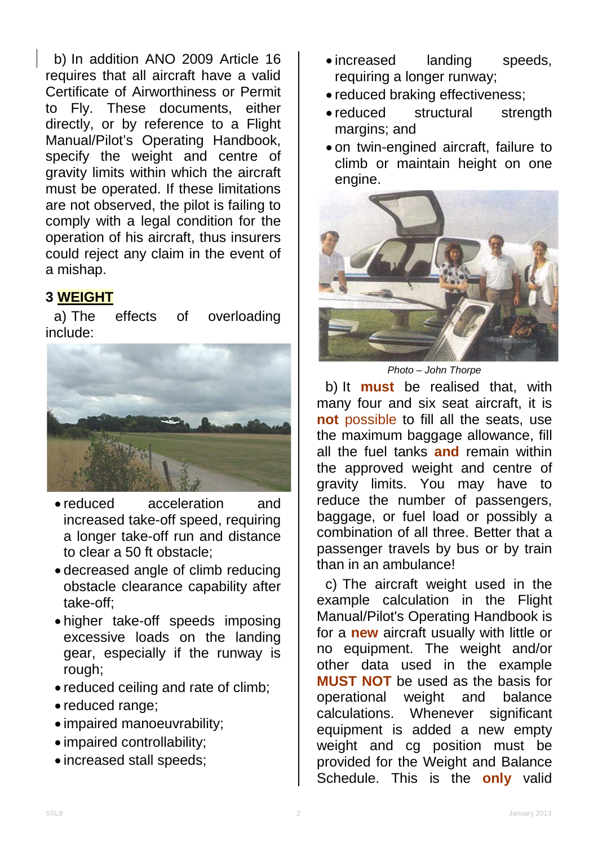b) In addition ANO 2009 Article 16 requires that all aircraft have a valid Certificate of Airworthiness or Permit to Fly. These documents, either directly, or by reference to a Flight Manual/Pilot's Operating Handbook, specify the weight and centre of gravity limits within which the aircraft must be operated. If these limitations are not observed, the pilot is failing to comply with a legal condition for the operation of his aircraft, thus insurers could reject any claim in the event of a mishap.

## **3 WEIGHT**

a) The effects of overloading include:



- reduced acceleration and increased take-off speed, requiring a longer take-off run and distance to clear a 50 ft obstacle;
- decreased angle of climb reducing obstacle clearance capability after take-off;
- higher take-off speeds imposing excessive loads on the landing gear, especially if the runway is rough;
- reduced ceiling and rate of climb;
- reduced range;
- impaired manoeuvrability;
- impaired controllability;
- increased stall speeds;
- increased landing speeds, requiring a longer runway;
- reduced braking effectiveness;
- reduced structural strength margins; and
- on twin-engined aircraft, failure to climb or maintain height on one engine.



*Photo – John Thorpe*

b) It **must** be realised that, with many four and six seat aircraft, it is **not** possible to fill all the seats, use the maximum baggage allowance, fill all the fuel tanks **and** remain within the approved weight and centre of gravity limits. You may have to reduce the number of passengers, baggage, or fuel load or possibly a combination of all three. Better that a passenger travels by bus or by train than in an ambulance!

c) The aircraft weight used in the example calculation in the Flight Manual/Pilot's Operating Handbook is for a **new** aircraft usually with little or no equipment. The weight and/or other data used in the example **MUST NOT** be used as the basis for operational weight and balance calculations. Whenever significant equipment is added a new empty weight and cg position must be provided for the Weight and Balance Schedule. This is the **only** valid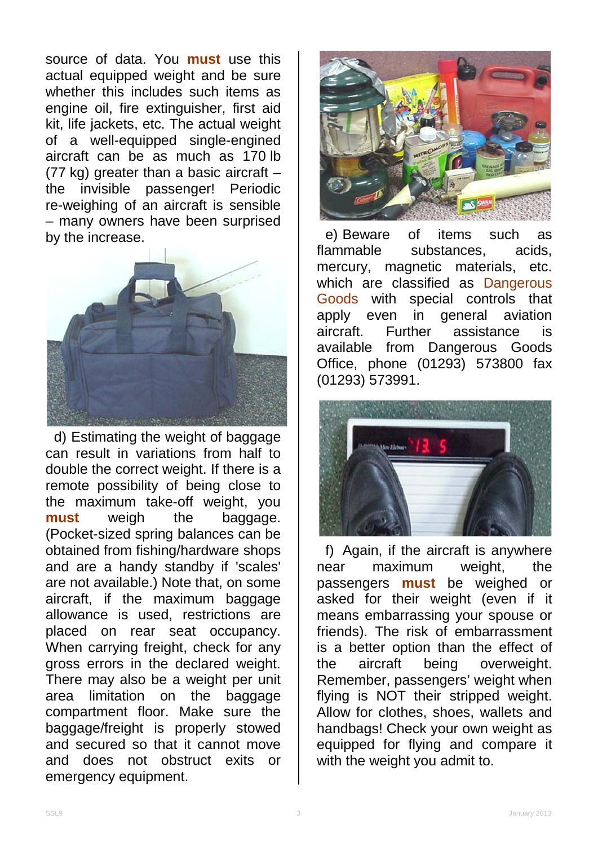source of data. You **must** use this actual equipped weight and be sure whether this includes such items as engine oil, fire extinguisher, first aid kit, life jackets, etc. The actual weight of a well-equipped single-engined aircraft can be as much as 170 lb (77 kg) greater than a basic aircraft – the invisible passenger! Periodic re-weighing of an aircraft is sensible – many owners have been surprised by the increase.



d) Estimating the weight of baggage can result in variations from half to double the correct weight. If there is a remote possibility of being close to the maximum take-off weight, you **must** weigh the baggage. (Pocket-sized spring balances can be obtained from fishing/hardware shops and are a handy standby if 'scales' are not available.) Note that, on some aircraft, if the maximum baggage allowance is used, restrictions are placed on rear seat occupancy. When carrying freight, check for any gross errors in the declared weight. There may also be a weight per unit area limitation on the baggage compartment floor. Make sure the baggage/freight is properly stowed and secured so that it cannot move and does not obstruct exits or emergency equipment.



e) Beware of items such as<br>flammable substances, acids, substances, acids, mercury, magnetic materials, etc. which are classified as Dangerous Goods with special controls that<br>apply even in general aviation apply even in general aviation aircraft. Further assistance is available from Dangerous Goods Office, phone (01293) 573800 fax (01293) 573991.



f) Again, if the aircraft is anywhere near maximum weight, the passengers **must** be weighed or asked for their weight (even if it means embarrassing your spouse or friends). The risk of embarrassment is a better option than the effect of the aircraft being overweight. Remember, passengers' weight when flying is NOT their stripped weight. Allow for clothes, shoes, wallets and handbags! Check your own weight as equipped for flying and compare it with the weight you admit to.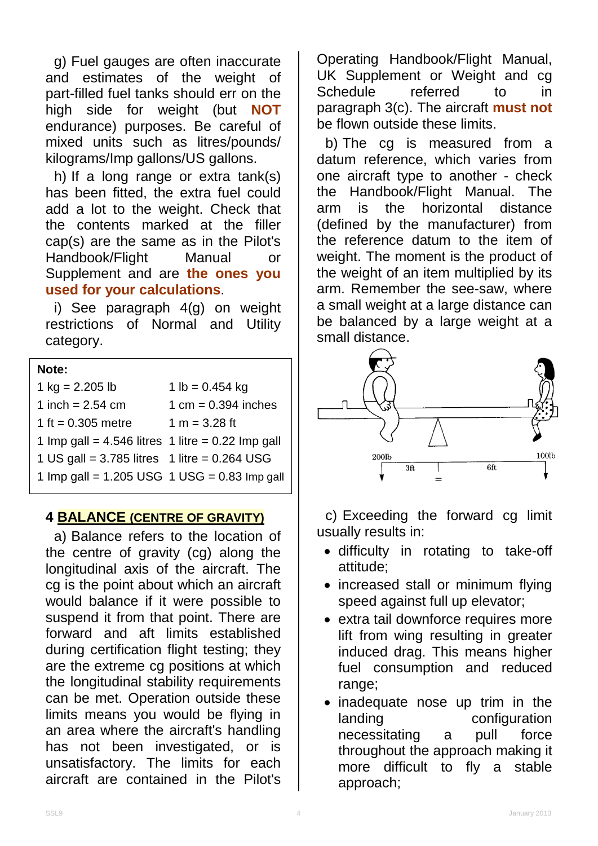g) Fuel gauges are often inaccurate and estimates of the weight of part-filled fuel tanks should err on the high side for weight (but **NOT** endurance) purposes. Be careful of mixed units such as litres/pounds/ kilograms/Imp gallons/US gallons.

h) If a long range or extra tank(s) has been fitted, the extra fuel could add a lot to the weight. Check that the contents marked at the filler cap(s) are the same as in the Pilot's Handbook/Flight Manual or Supplement and are **the ones you used for your calculations**.

i) See paragraph 4(g) on weight restrictions of Normal and Utility category.

#### **Note:**

| 1 $kg = 2.205 lb$                                 | 1 lb = $0.454$ kg     |
|---------------------------------------------------|-----------------------|
| 1 inch = $2.54$ cm                                | 1 cm = $0.394$ inches |
| 1 ft = $0.305$ metre                              | 1 m = $3.28$ ft       |
| 1 Imp gall = 4.546 litres 1 litre = 0.22 Imp gall |                       |
| 1 US gall = $3.785$ litres 1 litre = $0.264$ USG  |                       |
| 1 Imp gall = 1.205 USG $1$ USG = 0.83 Imp gall    |                       |
|                                                   |                       |

### **4 BALANCE (CENTRE OF GRAVITY)**

a) Balance refers to the location of the centre of gravity (cg) along the longitudinal axis of the aircraft. The cg is the point about which an aircraft would balance if it were possible to suspend it from that point. There are forward and aft limits established during certification flight testing; they are the extreme cg positions at which the longitudinal stability requirements can be met. Operation outside these limits means you would be flying in an area where the aircraft's handling has not been investigated, or is unsatisfactory. The limits for each aircraft are contained in the Pilot's

Operating Handbook/Flight Manual, UK Supplement or Weight and cg Schedule referred to in paragraph 3(c). The aircraft **must not** be flown outside these limits.

b) The cg is measured from a datum reference, which varies from one aircraft type to another - check the Handbook/Flight Manual. The arm is the horizontal distance (defined by the manufacturer) from the reference datum to the item of weight. The moment is the product of the weight of an item multiplied by its arm. Remember the see-saw, where a small weight at a large distance can be balanced by a large weight at a small distance.



c) Exceeding the forward cg limit usually results in:

- difficulty in rotating to take-off attitude;
- increased stall or minimum flying speed against full up elevator;
- extra tail downforce requires more lift from wing resulting in greater induced drag. This means higher fuel consumption and reduced range;
- inadequate nose up trim in the landing configuration necessitating a pull force throughout the approach making it more difficult to fly a stable approach;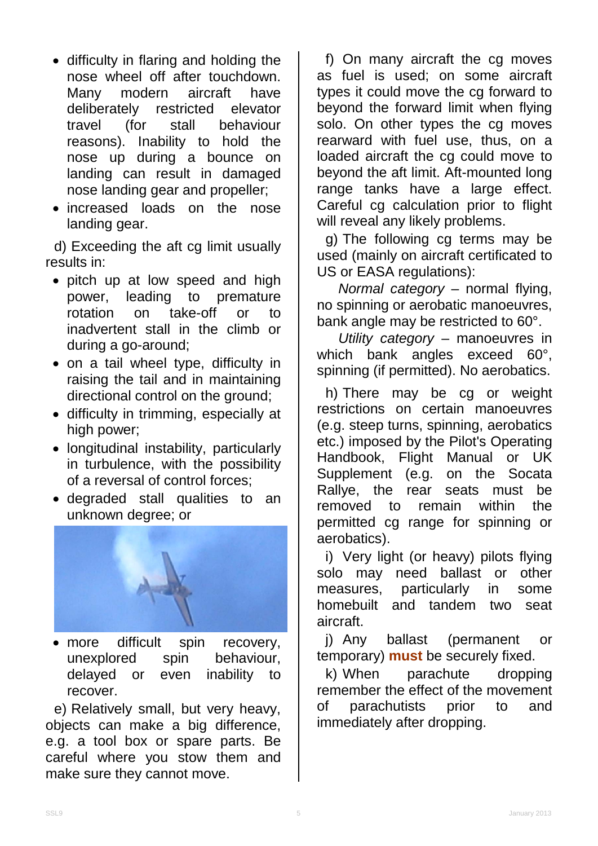- difficulty in flaring and holding the nose wheel off after touchdown. Many modern aircraft have deliberately restricted elevator travel (for stall behaviour reasons). Inability to hold the nose up during a bounce on landing can result in damaged nose landing gear and propeller;
- increased loads on the nose landing gear.

d) Exceeding the aft cg limit usually results in:

- pitch up at low speed and high power, leading to premature rotation on take-off or to inadvertent stall in the climb or during a go-around;
- on a tail wheel type, difficulty in raising the tail and in maintaining directional control on the ground;
- difficulty in trimming, especially at high power;
- longitudinal instability, particularly in turbulence, with the possibility of a reversal of control forces;
- degraded stall qualities to an unknown degree; or



• more difficult spin recovery, unexplored spin behaviour,<br>delayed or even inability to or even inability to recover.

e) Relatively small, but very heavy, objects can make a big difference, e.g. a tool box or spare parts. Be careful where you stow them and make sure they cannot move.

f) On many aircraft the cg moves as fuel is used; on some aircraft types it could move the cg forward to beyond the forward limit when flying solo. On other types the cg moves rearward with fuel use, thus, on a loaded aircraft the cg could move to beyond the aft limit. Aft-mounted long range tanks have a large effect. Careful cg calculation prior to flight will reveal any likely problems.

g) The following cg terms may be used (mainly on aircraft certificated to US or EASA regulations):

*Normal category* – normal flying, no spinning or aerobatic manoeuvres, bank angle may be restricted to 60°.

*Utility category* – manoeuvres in which bank angles exceed 60°, spinning (if permitted). No aerobatics.

h) There may be cg or weight restrictions on certain manoeuvres (e.g. steep turns, spinning, aerobatics etc.) imposed by the Pilot's Operating Handbook, Flight Manual or UK Supplement (e.g. on the Socata Rallye, the rear seats must be removed to remain within the permitted cg range for spinning or aerobatics).

i) Very light (or heavy) pilots flying solo may need ballast or other measures, particularly in some homebuilt and tandem two seat aircraft.

j) Any ballast (permanent or temporary) **must** be securely fixed.

k) When parachute dropping remember the effect of the movement of parachutists prior to and immediately after dropping.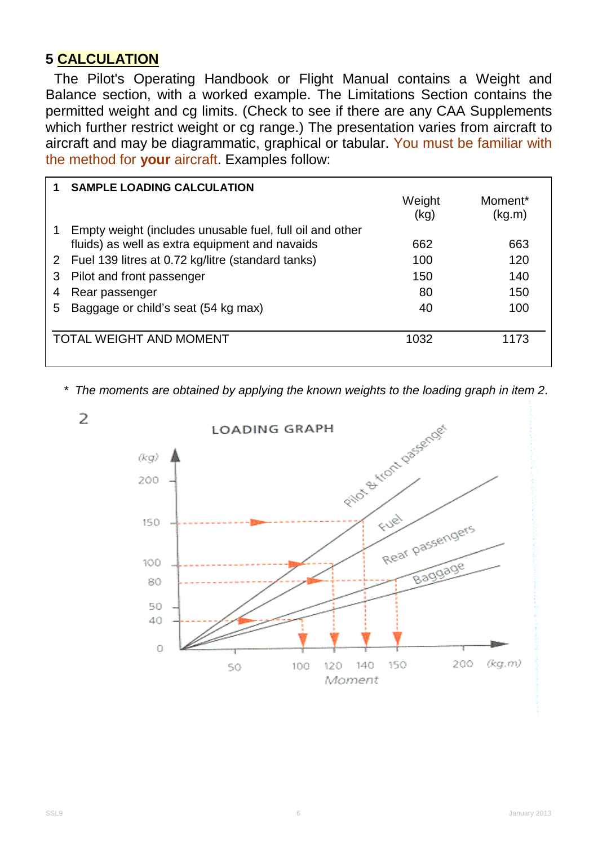## **5 CALCULATION**

The Pilot's Operating Handbook or Flight Manual contains a Weight and Balance section, with a worked example. The Limitations Section contains the permitted weight and cg limits. (Check to see if there are any CAA Supplements which further restrict weight or cg range.) The presentation varies from aircraft to aircraft and may be diagrammatic, graphical or tabular. You must be familiar with the method for **your** aircraft. Examples follow:

|                                                | <b>SAMPLE LOADING CALCULATION</b>                        |        |                     |
|------------------------------------------------|----------------------------------------------------------|--------|---------------------|
|                                                |                                                          | Weight | Moment <sup>*</sup> |
|                                                |                                                          | (kg)   | (kg.m)              |
|                                                | Empty weight (includes unusable fuel, full oil and other |        |                     |
|                                                | fluids) as well as extra equipment and navaids           | 662    | 663                 |
|                                                | 2 Fuel 139 litres at 0.72 kg/litre (standard tanks)      | 100    | 120                 |
| 3                                              | Pilot and front passenger                                | 150    | 140                 |
|                                                | Rear passenger                                           | 80     | 150                 |
| 5.                                             | Baggage or child's seat (54 kg max)                      | 40     | 100                 |
|                                                |                                                          |        |                     |
| <b>TOTAL WEIGHT AND MOMENT</b><br>1032<br>1173 |                                                          |        |                     |
|                                                |                                                          |        |                     |

*\* The moments are obtained by applying the known weights to the loading graph in item 2*.

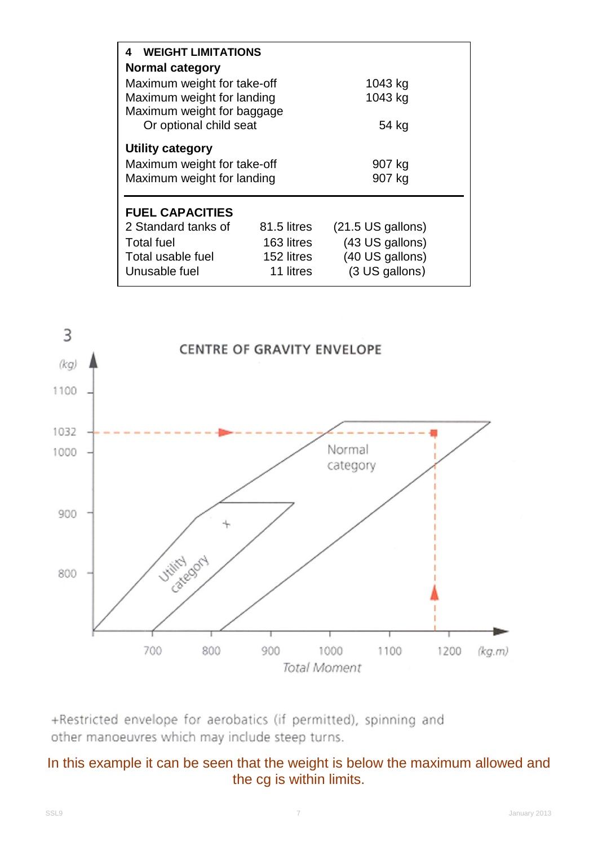| <b>WEIGHT LIMITATIONS</b><br>4                                                |                  |                             |  |  |  |  |  |  |
|-------------------------------------------------------------------------------|------------------|-----------------------------|--|--|--|--|--|--|
| <b>Normal category</b>                                                        |                  |                             |  |  |  |  |  |  |
| Maximum weight for take-off                                                   | 1043 kg          |                             |  |  |  |  |  |  |
| Maximum weight for landing                                                    | 1043 kg          |                             |  |  |  |  |  |  |
| Maximum weight for baggage                                                    |                  |                             |  |  |  |  |  |  |
| Or optional child seat                                                        | 54 kg            |                             |  |  |  |  |  |  |
| Utility category<br>Maximum weight for take-off<br>Maximum weight for landing | 907 kg<br>907 kg |                             |  |  |  |  |  |  |
| <b>FUEL CAPACITIES</b>                                                        |                  |                             |  |  |  |  |  |  |
| 2 Standard tanks of                                                           | 81.5 litres      | $(21.5 \text{ US gallons})$ |  |  |  |  |  |  |
| <b>Total fuel</b>                                                             | 163 litres       | (43 US gallons)             |  |  |  |  |  |  |
| Total usable fuel                                                             | 152 litres       | (40 US gallons)             |  |  |  |  |  |  |
| Unusable fuel                                                                 | 11 litres        | (3 US gallons)              |  |  |  |  |  |  |



+Restricted envelope for aerobatics (if permitted), spinning and other manoeuvres which may include steep turns.

## In this example it can be seen that the weight is below the maximum allowed and the cg is within limits.